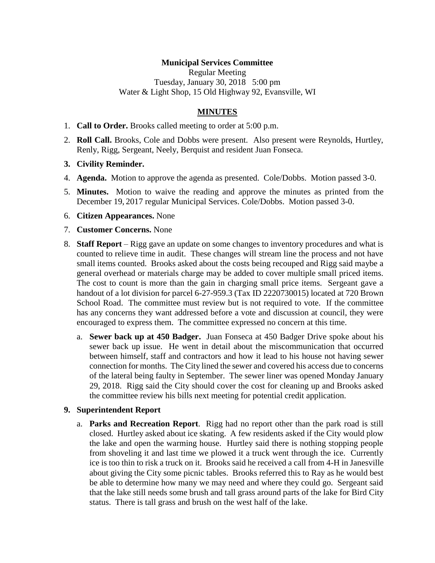### **Municipal Services Committee**

Regular Meeting Tuesday, January 30, 2018 5:00 pm Water & Light Shop, 15 Old Highway 92, Evansville, WI

## **MINUTES**

- 1. **Call to Order.** Brooks called meeting to order at 5:00 p.m.
- 2. **Roll Call.** Brooks, Cole and Dobbs were present. Also present were Reynolds, Hurtley, Renly, Rigg, Sergeant, Neely, Berquist and resident Juan Fonseca.
- **3. Civility Reminder.**
- 4. **Agenda.** Motion to approve the agenda as presented. Cole/Dobbs. Motion passed 3-0.
- 5. **Minutes.** Motion to waive the reading and approve the minutes as printed from the December 19, 2017 regular Municipal Services. Cole/Dobbs. Motion passed 3-0.
- 6. **Citizen Appearances.** None
- 7. **Customer Concerns.** None
- 8. **Staff Report** Rigg gave an update on some changes to inventory procedures and what is counted to relieve time in audit. These changes will stream line the process and not have small items counted. Brooks asked about the costs being recouped and Rigg said maybe a general overhead or materials charge may be added to cover multiple small priced items. The cost to count is more than the gain in charging small price items. Sergeant gave a handout of a lot division for parcel 6-27-959.3 (Tax ID 2220730015) located at 720 Brown School Road. The committee must review but is not required to vote. If the committee has any concerns they want addressed before a vote and discussion at council, they were encouraged to express them. The committee expressed no concern at this time.
	- a. **Sewer back up at 450 Badger.** Juan Fonseca at 450 Badger Drive spoke about his sewer back up issue. He went in detail about the miscommunication that occurred between himself, staff and contractors and how it lead to his house not having sewer connection for months. The City lined the sewer and covered his access due to concerns of the lateral being faulty in September. The sewer liner was opened Monday January 29, 2018. Rigg said the City should cover the cost for cleaning up and Brooks asked the committee review his bills next meeting for potential credit application.

#### **9. Superintendent Report**

a. **Parks and Recreation Report**. Rigg had no report other than the park road is still closed. Hurtley asked about ice skating. A few residents asked if the City would plow the lake and open the warming house. Hurtley said there is nothing stopping people from shoveling it and last time we plowed it a truck went through the ice. Currently ice is too thin to risk a truck on it. Brooks said he received a call from 4-H in Janesville about giving the City some picnic tables. Brooks referred this to Ray as he would best be able to determine how many we may need and where they could go. Sergeant said that the lake still needs some brush and tall grass around parts of the lake for Bird City status. There is tall grass and brush on the west half of the lake.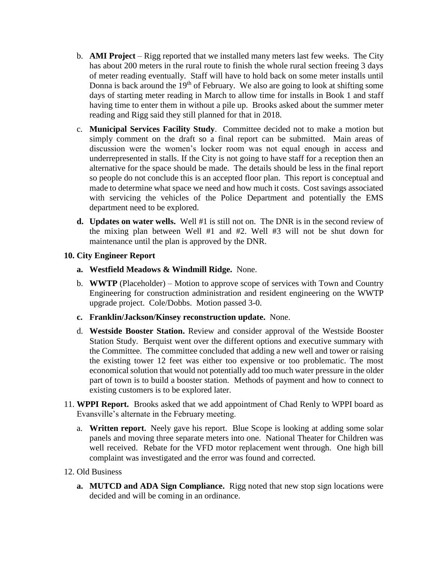- b. **AMI Project** Rigg reported that we installed many meters last few weeks. The City has about 200 meters in the rural route to finish the whole rural section freeing 3 days of meter reading eventually. Staff will have to hold back on some meter installs until Donna is back around the 19<sup>th</sup> of February. We also are going to look at shifting some days of starting meter reading in March to allow time for installs in Book 1 and staff having time to enter them in without a pile up. Brooks asked about the summer meter reading and Rigg said they still planned for that in 2018.
- c. **Municipal Services Facility Study**. Committee decided not to make a motion but simply comment on the draft so a final report can be submitted. Main areas of discussion were the women's locker room was not equal enough in access and underrepresented in stalls. If the City is not going to have staff for a reception then an alternative for the space should be made. The details should be less in the final report so people do not conclude this is an accepted floor plan. This report is conceptual and made to determine what space we need and how much it costs. Cost savings associated with servicing the vehicles of the Police Department and potentially the EMS department need to be explored.
- **d. Updates on water wells.** Well #1 is still not on. The DNR is in the second review of the mixing plan between Well #1 and #2. Well #3 will not be shut down for maintenance until the plan is approved by the DNR.

## **10. City Engineer Report**

- **a. Westfield Meadows & Windmill Ridge.** None.
- b. **WWTP** (Placeholder) Motion to approve scope of services with Town and Country Engineering for construction administration and resident engineering on the WWTP upgrade project. Cole/Dobbs. Motion passed 3-0.
- **c. Franklin/Jackson/Kinsey reconstruction update.** None.
- d. **Westside Booster Station.** Review and consider approval of the Westside Booster Station Study. Berquist went over the different options and executive summary with the Committee. The committee concluded that adding a new well and tower or raising the existing tower 12 feet was either too expensive or too problematic. The most economical solution that would not potentially add too much water pressure in the older part of town is to build a booster station. Methods of payment and how to connect to existing customers is to be explored later.
- 11. **WPPI Report.** Brooks asked that we add appointment of Chad Renly to WPPI board as Evansville's alternate in the February meeting.
	- a. **Written report.** Neely gave his report. Blue Scope is looking at adding some solar panels and moving three separate meters into one. National Theater for Children was well received. Rebate for the VFD motor replacement went through. One high bill complaint was investigated and the error was found and corrected.
- 12. Old Business
	- **a. MUTCD and ADA Sign Compliance.** Rigg noted that new stop sign locations were decided and will be coming in an ordinance.